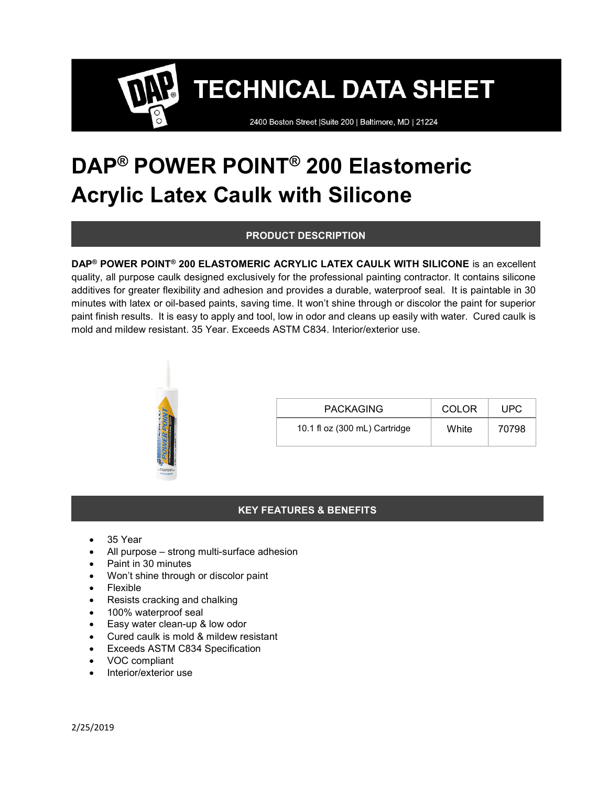2400 Boston Street | Suite 200 | Baltimore, MD | 21224

# DAP® POWER POINT® 200 Elastomeric Acrylic Latex Caulk with Silicone

### PRODUCT DESCRIPTION

DAP® POWER POINT® 200 ELASTOMERIC ACRYLIC LATEX CAULK WITH SILICONE is an excellent quality, all purpose caulk designed exclusively for the professional painting contractor. It contains silicone additives for greater flexibility and adhesion and provides a durable, waterproof seal. It is paintable in 30 minutes with latex or oil-based paints, saving time. It won't shine through or discolor the paint for superior paint finish results. It is easy to apply and tool, low in odor and cleans up easily with water. Cured caulk is mold and mildew resistant. 35 Year. Exceeds ASTM C834. Interior/exterior use.



| <b>PACKAGING</b>              | COLOR | UPC   |
|-------------------------------|-------|-------|
| 10.1 fl oz (300 mL) Cartridge | White | 70798 |

### KEY FEATURES & BENEFITS

- 35 Year
- All purpose strong multi-surface adhesion
- Paint in 30 minutes
- Won't shine through or discolor paint
- Flexible
- Resists cracking and chalking
- 100% waterproof seal
- Easy water clean-up & low odor
- Cured caulk is mold & mildew resistant
- Exceeds ASTM C834 Specification
- VOC compliant
- Interior/exterior use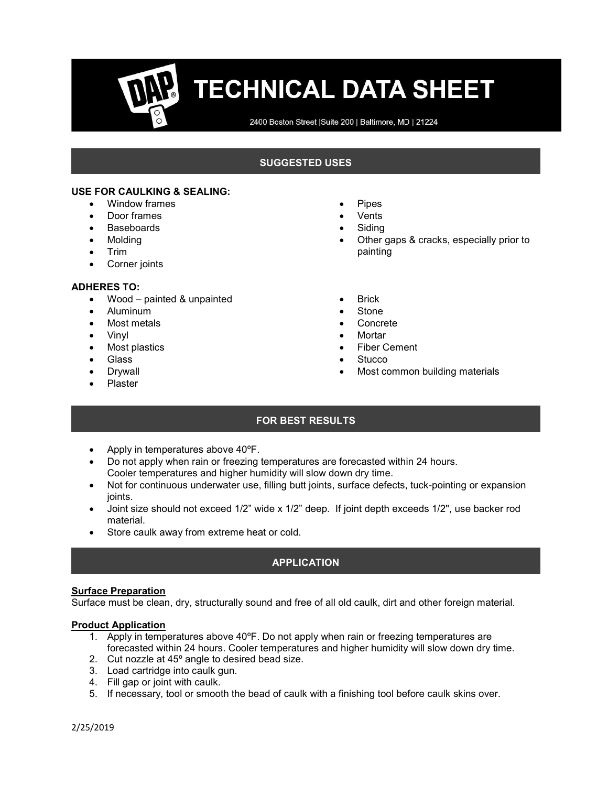2400 Boston Street | Suite 200 | Baltimore, MD | 21224

#### SUGGESTED USES

#### USE FOR CAULKING & SEALING:

- Window frames
- Door frames
- Baseboards
- Molding
- $\bullet$  Trim
- Corner joints

#### ADHERES TO:

- Wood painted & unpainted
- Aluminum
- Most metals
- Vinyl
- Most plastics
- Glass
- Drywall
- Plaster
- Pipes
- Vents
- Siding
- Other gaps & cracks, especially prior to painting
- **Brick**
- Stone
- Concrete
- Mortar
- Fiber Cement
- **Stucco**
- Most common building materials

## FOR BEST RESULTS

- Apply in temperatures above 40°F.
- Do not apply when rain or freezing temperatures are forecasted within 24 hours. Cooler temperatures and higher humidity will slow down dry time.
- Not for continuous underwater use, filling butt joints, surface defects, tuck-pointing or expansion joints.
- Joint size should not exceed 1/2" wide x 1/2" deep. If joint depth exceeds 1/2", use backer rod material.
- Store caulk away from extreme heat or cold.

### APPLICATION

## **Surface Preparation**

Surface must be clean, dry, structurally sound and free of all old caulk, dirt and other foreign material.

#### Product Application

- 1. Apply in temperatures above  $40^{\circ}$ F. Do not apply when rain or freezing temperatures are forecasted within 24 hours. Cooler temperatures and higher humidity will slow down dry time.
- 2. Cut nozzle at 45º angle to desired bead size.
- 3. Load cartridge into caulk gun.
- 4. Fill gap or joint with caulk.
- 5. If necessary, tool or smooth the bead of caulk with a finishing tool before caulk skins over.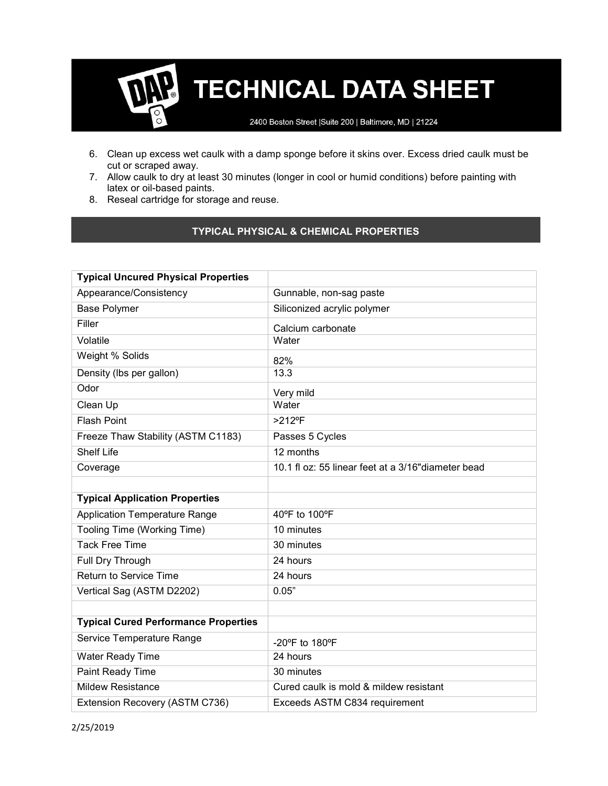2400 Boston Street | Suite 200 | Baltimore, MD | 21224

- 6. Clean up excess wet caulk with a damp sponge before it skins over. Excess dried caulk must be cut or scraped away.
- 7. Allow caulk to dry at least 30 minutes (longer in cool or humid conditions) before painting with latex or oil-based paints.
- 8. Reseal cartridge for storage and reuse.

#### TYPICAL PHYSICAL & CHEMICAL PROPERTIES

| <b>Typical Uncured Physical Properties</b>  |                                                     |
|---------------------------------------------|-----------------------------------------------------|
| Appearance/Consistency                      | Gunnable, non-sag paste                             |
| <b>Base Polymer</b>                         | Siliconized acrylic polymer                         |
| Filler                                      | Calcium carbonate                                   |
| Volatile                                    | Water                                               |
| Weight % Solids                             | 82%                                                 |
| Density (Ibs per gallon)                    | 13.3                                                |
| Odor                                        | Very mild                                           |
| Clean Up                                    | Water                                               |
| <b>Flash Point</b>                          | $>212$ °F                                           |
| Freeze Thaw Stability (ASTM C1183)          | Passes 5 Cycles                                     |
| <b>Shelf Life</b>                           | 12 months                                           |
| Coverage                                    | 10.1 fl oz: 55 linear feet at a 3/16" diameter bead |
|                                             |                                                     |
| <b>Typical Application Properties</b>       |                                                     |
| <b>Application Temperature Range</b>        | 40°F to 100°F                                       |
| Tooling Time (Working Time)                 | 10 minutes                                          |
| <b>Tack Free Time</b>                       | 30 minutes                                          |
| Full Dry Through                            | 24 hours                                            |
| <b>Return to Service Time</b>               | 24 hours                                            |
| Vertical Sag (ASTM D2202)                   | 0.05"                                               |
|                                             |                                                     |
| <b>Typical Cured Performance Properties</b> |                                                     |
| Service Temperature Range                   | -20°F to 180°F                                      |
| Water Ready Time                            | 24 hours                                            |
| Paint Ready Time                            | 30 minutes                                          |
| <b>Mildew Resistance</b>                    | Cured caulk is mold & mildew resistant              |
| Extension Recovery (ASTM C736)              | Exceeds ASTM C834 requirement                       |